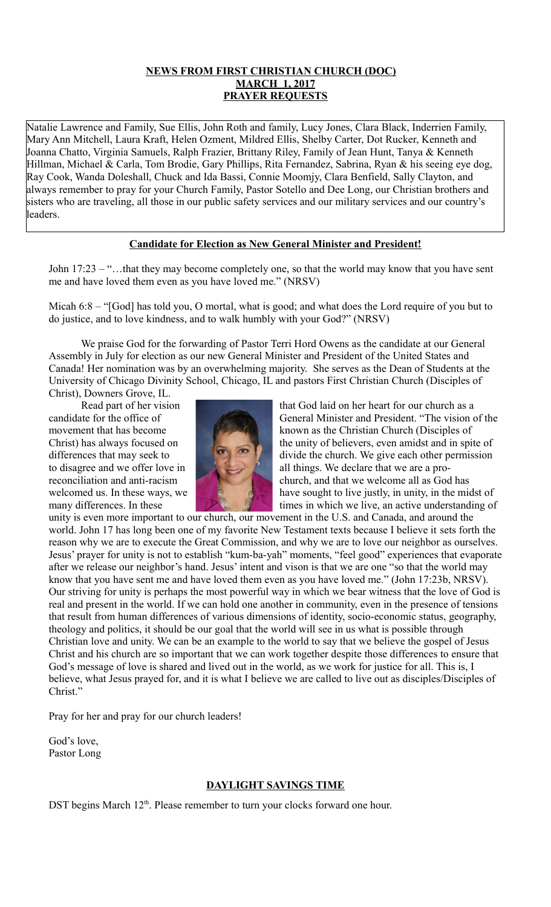# **NEWS FROM FIRST CHRISTIAN CHURCH (DOC) MARCH 1, 2017 PRAYER REQUESTS**

Natalie Lawrence and Family, Sue Ellis, John Roth and family, Lucy Jones, Clara Black, Inderrien Family, Mary Ann Mitchell, Laura Kraft, Helen Ozment, Mildred Ellis, Shelby Carter, Dot Rucker, Kenneth and Joanna Chatto, Virginia Samuels, Ralph Frazier, Brittany Riley, Family of Jean Hunt, Tanya & Kenneth Hillman, Michael & Carla, Tom Brodie, Gary Phillips, Rita Fernandez, Sabrina, Ryan & his seeing eye dog, Ray Cook, Wanda Doleshall, Chuck and Ida Bassi, Connie Moomjy, Clara Benfield, Sally Clayton, and always remember to pray for your Church Family, Pastor Sotello and Dee Long, our Christian brothers and sisters who are traveling, all those in our public safety services and our military services and our country's leaders.

# **Candidate for Election as New General Minister and President!**

John 17:23 – "…that they may become completely one, so that the world may know that you have sent me and have loved them even as you have loved me." (NRSV)

Micah 6:8 – "[God] has told you, O mortal, what is good; and what does the Lord require of you but to do justice, and to love kindness, and to walk humbly with your God?" (NRSV)

We praise God for the forwarding of Pastor Terri Hord Owens as the candidate at our General Assembly in July for election as our new General Minister and President of the United States and Canada! Her nomination was by an overwhelming majority. She serves as the Dean of Students at the University of Chicago Divinity School, Chicago, IL and pastors First Christian Church (Disciples of

Christ), Downers Grove, IL.



Read part of her vision that God laid on her heart for our church as a candidate for the office of General Minister and President. "The vision of the movement that has become known as the Christian Church (Disciples of Christ) has always focused on the unity of believers, even amidst and in spite of differences that may seek to divide the church. We give each other permission to disagree and we offer love in all things. We declare that we are a proreconciliation and anti-racism church, and that we welcome all as God has welcomed us. In these ways, we have sought to live justly, in unity, in the midst of many differences. In these times in which we live, an active understanding of

unity is even more important to our church, our movement in the U.S. and Canada, and around the world. John 17 has long been one of my favorite New Testament texts because I believe it sets forth the reason why we are to execute the Great Commission, and why we are to love our neighbor as ourselves. Jesus' prayer for unity is not to establish "kum-ba-yah" moments, "feel good" experiences that evaporate after we release our neighbor's hand. Jesus' intent and vison is that we are one "so that the world may know that you have sent me and have loved them even as you have loved me." (John 17:23b, NRSV). Our striving for unity is perhaps the most powerful way in which we bear witness that the love of God is real and present in the world. If we can hold one another in community, even in the presence of tensions that result from human differences of various dimensions of identity, socio-economic status, geography, theology and politics, it should be our goal that the world will see in us what is possible through Christian love and unity. We can be an example to the world to say that we believe the gospel of Jesus Christ and his church are so important that we can work together despite those differences to ensure that God's message of love is shared and lived out in the world, as we work for justice for all. This is, I believe, what Jesus prayed for, and it is what I believe we are called to live out as disciples/Disciples of Christ."

Pray for her and pray for our church leaders!

God's love, Pastor Long

### **DAYLIGHT SAVINGS TIME**

DST begins March 12<sup>th</sup>. Please remember to turn your clocks forward one hour.